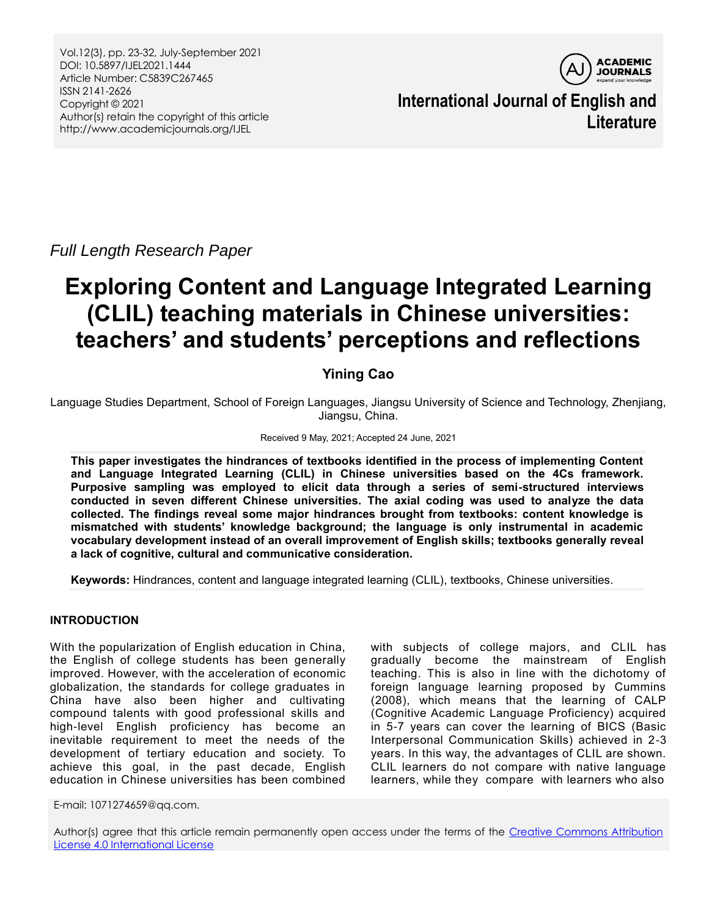Vol.12(3), pp. 23-32, July-September 2021 DOI: 10.5897/IJEL2021.1444 Article Number: C5839C267465 ISSN 2141-2626 Copyright © 2021 Author(s) retain the copyright of this article http://www.academicjournals.org/IJEL



**International Journal of English and Literature**

*Full Length Research Paper*

# **Exploring Content and Language Integrated Learning (CLIL) teaching materials in Chinese universities: teachers' and students' perceptions and reflections**

# **Yining Cao**

Language Studies Department, School of Foreign Languages, Jiangsu University of Science and Technology, Zhenjiang, Jiangsu, China.

#### Received 9 May, 2021; Accepted 24 June, 2021

**This paper investigates the hindrances of textbooks identified in the process of implementing Content and Language Integrated Learning (CLIL) in Chinese universities based on the 4Cs framework. Purposive sampling was employed to elicit data through a series of semi-structured interviews conducted in seven different Chinese universities. The axial coding was used to analyze the data collected. The findings reveal some major hindrances brought from textbooks: content knowledge is mismatched with students' knowledge background; the language is only instrumental in academic vocabulary development instead of an overall improvement of English skills; textbooks generally reveal a lack of cognitive, cultural and communicative consideration.** 

**Keywords:** Hindrances, content and language integrated learning (CLIL), textbooks, Chinese universities.

# **INTRODUCTION**

With the popularization of English education in China, the English of college students has been generally improved. However, with the acceleration of economic globalization, the standards for college graduates in China have also been higher and cultivating compound talents with good professional skills and high-level English proficiency has become an inevitable requirement to meet the needs of the development of tertiary education and society. To achieve this goal, in the past decade, English education in Chinese universities has been combined

with subjects of college majors, and CLIL has gradually become the mainstream of English teaching. This is also in line with the dichotomy of foreign language learning proposed by Cummins (2008), which means that the learning of CALP (Cognitive Academic Language Proficiency) acquired in 5-7 years can cover the learning of BICS (Basic Interpersonal Communication Skills) achieved in 2-3 years. In this way, the advantages of CLIL are shown. CLIL learners do not compare with native language learners, while they compare with learners who also

E-mail: 1071274659@qq.com.

Author(s) agree that this article remain permanently open access under the terms of the Creative Commons Attribution [License 4.0 International License](http://creativecommons.org/licenses/by/4.0/deed.en_US)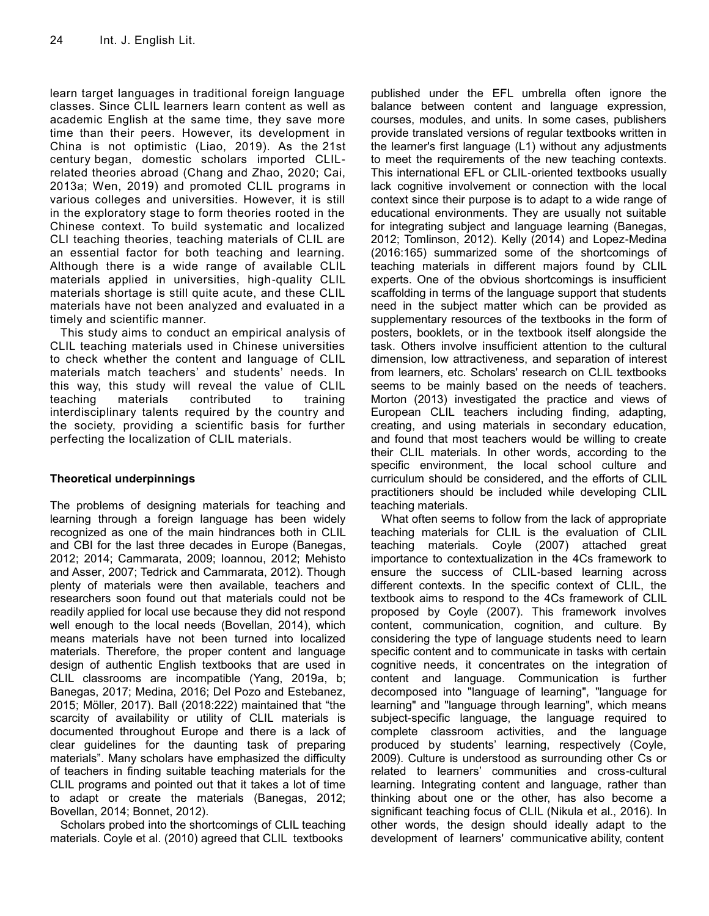learn target languages in traditional foreign language classes. Since CLIL learners learn content as well as academic English at the same time, they save more time than their peers. However, its development in China is not optimistic (Liao, 2019). As the 21st century began, domestic scholars imported CLILrelated theories abroad (Chang and Zhao, 2020; Cai, 2013a; Wen, 2019) and promoted CLIL programs in various colleges and universities. However, it is still in the exploratory stage to form theories rooted in the Chinese context. To build systematic and localized CLI teaching theories, teaching materials of CLIL are an essential factor for both teaching and learning. Although there is a wide range of available CLIL materials applied in universities, high-quality CLIL materials shortage is still quite acute, and these CLIL materials have not been analyzed and evaluated in a timely and scientific manner.

This study aims to conduct an empirical analysis of CLIL teaching materials used in Chinese universities to check whether the content and language of CLIL materials match teachers' and students' needs. In this way, this study will reveal the value of CLIL teaching materials contributed to training interdisciplinary talents required by the country and the society, providing a scientific basis for further perfecting the localization of CLIL materials.

# **Theoretical underpinnings**

The problems of designing materials for teaching and learning through a foreign language has been widely recognized as one of the main hindrances both in CLIL and CBI for the last three decades in Europe (Banegas, 2012; 2014; Cammarata, 2009; Ioannou, 2012; Mehisto and Asser, 2007; Tedrick and Cammarata, 2012). Though plenty of materials were then available, teachers and researchers soon found out that materials could not be readily applied for local use because they did not respond well enough to the local needs (Bovellan, 2014), which means materials have not been turned into localized materials. Therefore, the proper content and language design of authentic English textbooks that are used in CLIL classrooms are incompatible (Yang, 2019a, b; Banegas, 2017; Medina, 2016; Del Pozo and Estebanez, 2015; Möller, 2017). Ball (2018:222) maintained that "the scarcity of availability or utility of CLIL materials is documented throughout Europe and there is a lack of clear guidelines for the daunting task of preparing materials". Many scholars have emphasized the difficulty of teachers in finding suitable teaching materials for the CLIL programs and pointed out that it takes a lot of time to adapt or create the materials (Banegas, 2012; Bovellan, 2014; Bonnet, 2012).

Scholars probed into the shortcomings of CLIL teaching materials. Coyle et al. (2010) agreed that CLIL textbooks

published under the EFL umbrella often ignore the balance between content and language expression, courses, modules, and units. In some cases, publishers provide translated versions of regular textbooks written in the learner's first language (L1) without any adjustments to meet the requirements of the new teaching contexts. This international EFL or CLIL-oriented textbooks usually lack cognitive involvement or connection with the local context since their purpose is to adapt to a wide range of educational environments. They are usually not suitable for integrating subject and language learning (Banegas, 2012; Tomlinson, 2012). Kelly (2014) and Lopez-Medina (2016:165) summarized some of the shortcomings of teaching materials in different majors found by CLIL experts. One of the obvious shortcomings is insufficient scaffolding in terms of the language support that students need in the subject matter which can be provided as supplementary resources of the textbooks in the form of posters, booklets, or in the textbook itself alongside the task. Others involve insufficient attention to the cultural dimension, low attractiveness, and separation of interest from learners, etc. Scholars' research on CLIL textbooks seems to be mainly based on the needs of teachers. Morton (2013) investigated the practice and views of European CLIL teachers including finding, adapting, creating, and using materials in secondary education, and found that most teachers would be willing to create their CLIL materials. In other words, according to the specific environment, the local school culture and curriculum should be considered, and the efforts of CLIL practitioners should be included while developing CLIL teaching materials.

What often seems to follow from the lack of appropriate teaching materials for CLIL is the evaluation of CLIL teaching materials. Coyle (2007) attached great importance to contextualization in the 4Cs framework to ensure the success of CLIL-based learning across different contexts. In the specific context of CLIL, the textbook aims to respond to the 4Cs framework of CLIL proposed by Coyle (2007). This framework involves content, communication, cognition, and culture. By considering the type of language students need to learn specific content and to communicate in tasks with certain cognitive needs, it concentrates on the integration of content and language. Communication is further decomposed into "language of learning", "language for learning" and "language through learning", which means subject-specific language, the language required to complete classroom activities, and the language produced by students' learning, respectively (Coyle, 2009). Culture is understood as surrounding other Cs or related to learners' communities and cross-cultural learning. Integrating content and language, rather than thinking about one or the other, has also become a significant teaching focus of CLIL (Nikula et al., 2016). In other words, the design should ideally adapt to the development of learners' communicative ability, content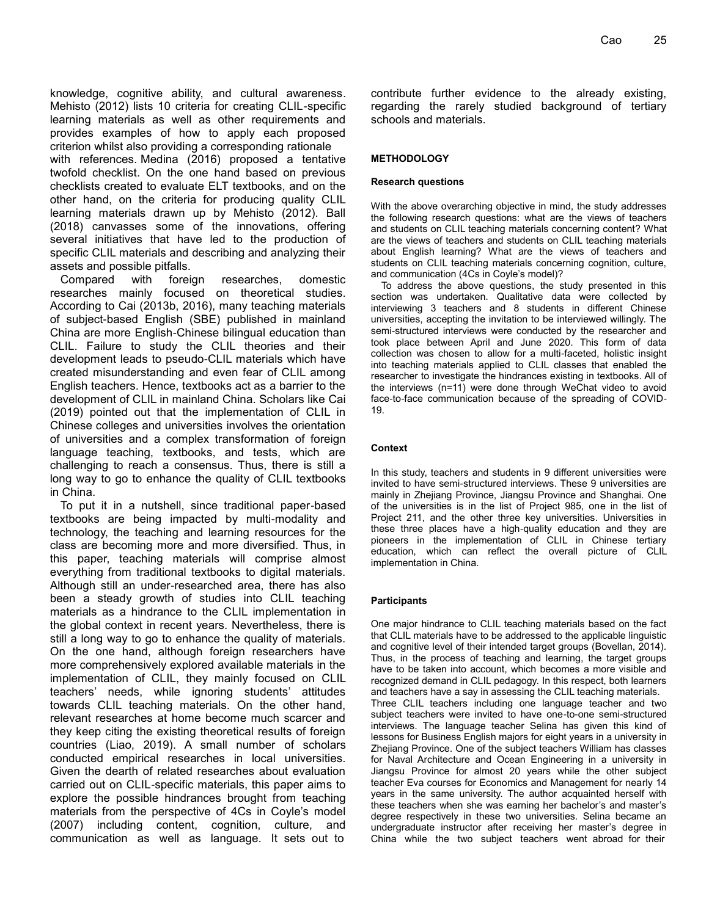knowledge, cognitive ability, and cultural awareness. Mehisto (2012) lists 10 criteria for creating CLIL-specific learning materials as well as other requirements and provides examples of how to apply each proposed criterion whilst also providing a corresponding rationale with references. Medina (2016) proposed a tentative twofold checklist. On the one hand based on previous checklists created to evaluate ELT textbooks, and on the other hand, on the criteria for producing quality CLIL learning materials drawn up by Mehisto (2012). Ball (2018) canvasses some of the innovations, offering several initiatives that have led to the production of specific CLIL materials and describing and analyzing their assets and possible pitfalls.

Compared with foreign researches, domestic researches mainly focused on theoretical studies. According to Cai (2013b, 2016), many teaching materials of subject-based English (SBE) published in mainland China are more English-Chinese bilingual education than CLIL. Failure to study the CLIL theories and their development leads to pseudo-CLIL materials which have created misunderstanding and even fear of CLIL among English teachers. Hence, textbooks act as a barrier to the development of CLIL in mainland China. Scholars like Cai (2019) pointed out that the implementation of CLIL in Chinese colleges and universities involves the orientation of universities and a complex transformation of foreign language teaching, textbooks, and tests, which are challenging to reach a consensus. Thus, there is still a long way to go to enhance the quality of CLIL textbooks in China.

To put it in a nutshell, since traditional paper-based textbooks are being impacted by multi-modality and technology, the teaching and learning resources for the class are becoming more and more diversified. Thus, in this paper, teaching materials will comprise almost everything from traditional textbooks to digital materials. Although still an under-researched area, there has also been a steady growth of studies into CLIL teaching materials as a hindrance to the CLIL implementation in the global context in recent years. Nevertheless, there is still a long way to go to enhance the quality of materials. On the one hand, although foreign researchers have more comprehensively explored available materials in the implementation of CLIL, they mainly focused on CLIL teachers' needs, while ignoring students' attitudes towards CLIL teaching materials. On the other hand, relevant researches at home become much scarcer and they keep citing the existing theoretical results of foreign countries (Liao, 2019). A small number of scholars conducted empirical researches in local universities. Given the dearth of related researches about evaluation carried out on CLIL-specific materials, this paper aims to explore the possible hindrances brought from teaching materials from the perspective of 4Cs in Coyle's model (2007) including content, cognition, culture, and communication as well as language. It sets out to

contribute further evidence to the already existing, regarding the rarely studied background of tertiary schools and materials.

#### **METHODOLOGY**

#### **Research questions**

With the above overarching objective in mind, the study addresses the following research questions: what are the views of teachers and students on CLIL teaching materials concerning content? What are the views of teachers and students on CLIL teaching materials about English learning? What are the views of teachers and students on CLIL teaching materials concerning cognition, culture, and communication (4Cs in Coyle's model)?

To address the above questions, the study presented in this section was undertaken. Qualitative data were collected by interviewing 3 teachers and 8 students in different Chinese universities, accepting the invitation to be interviewed willingly. The semi-structured interviews were conducted by the researcher and took place between April and June 2020. This form of data collection was chosen to allow for a multi-faceted, holistic insight into teaching materials applied to CLIL classes that enabled the researcher to investigate the hindrances existing in textbooks. All of the interviews (n=11) were done through WeChat video to avoid face-to-face communication because of the spreading of COVID-19.

#### **Context**

In this study, teachers and students in 9 different universities were invited to have semi-structured interviews. These 9 universities are mainly in Zhejiang Province, Jiangsu Province and Shanghai. One of the universities is in the list of Project 985, one in the list of Project 211, and the other three key universities. Universities in these three places have a high-quality education and they are pioneers in the implementation of CLIL in Chinese tertiary education, which can reflect the overall picture of CLIL implementation in China.

#### **Participants**

One major hindrance to CLIL teaching materials based on the fact that CLIL materials have to be addressed to the applicable linguistic and cognitive level of their intended target groups (Bovellan, 2014). Thus, in the process of teaching and learning, the target groups have to be taken into account, which becomes a more visible and recognized demand in CLIL pedagogy. In this respect, both learners and teachers have a say in assessing the CLIL teaching materials. Three CLIL teachers including one language teacher and two subject teachers were invited to have one-to-one semi-structured interviews. The language teacher Selina has given this kind of lessons for Business English majors for eight years in a university in Zhejiang Province. One of the subject teachers William has classes for Naval Architecture and Ocean Engineering in a university in Jiangsu Province for almost 20 years while the other subject teacher Eva courses for Economics and Management for nearly 14 years in the same university. The author acquainted herself with these teachers when she was earning her bachelor's and master's degree respectively in these two universities. Selina became an undergraduate instructor after receiving her master's degree in China while the two subject teachers went abroad for their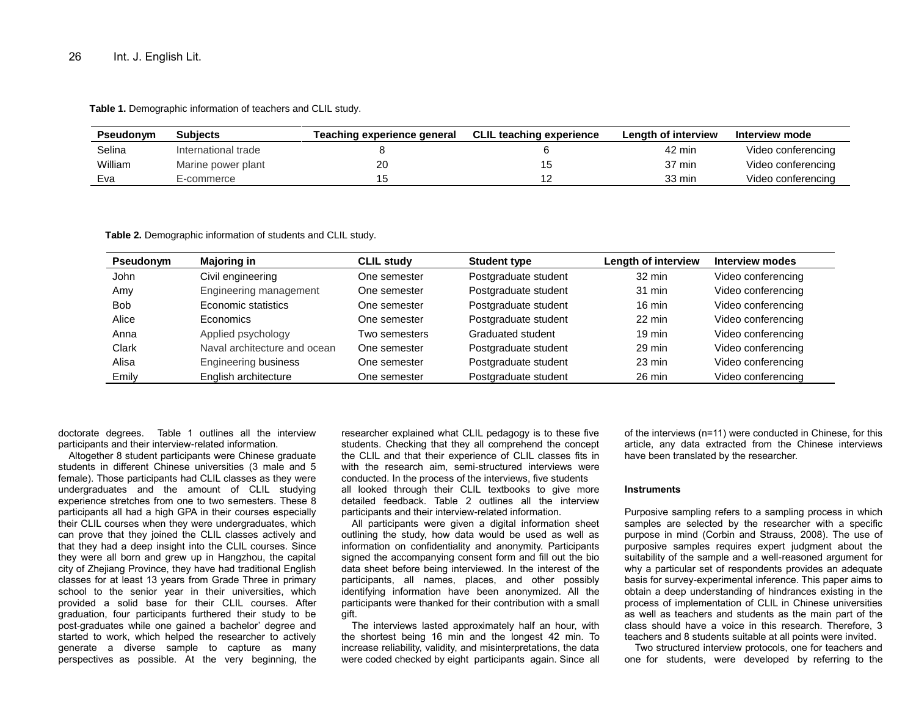**Table 1.** Demographic information of teachers and CLIL study.

| <b>Pseudonym</b> | <b>Subjects</b>     | Teaching experience general | <b>CLIL teaching experience</b> | Lenath of interview | Interview mode     |
|------------------|---------------------|-----------------------------|---------------------------------|---------------------|--------------------|
| Selina           | International trade |                             |                                 | 42 min              | Video conferencing |
| William          | Marine power plant  | 20                          |                                 | 37 min              | Video conferencing |
| Eva              | E-commerce          |                             |                                 | 33 min              | Video conferencing |

**Table 2.** Demographic information of students and CLIL study.

| Pseudonym  | <b>Majoring in</b>           | <b>CLIL study</b> | <b>Student type</b>  | Length of interview | <b>Interview modes</b> |
|------------|------------------------------|-------------------|----------------------|---------------------|------------------------|
| John       | Civil engineering            | One semester      | Postgraduate student | $32 \text{ min}$    | Video conferencing     |
| Amv        | Engineering management       | One semester      | Postgraduate student | $31$ min            | Video conferencing     |
| <b>Bob</b> | Economic statistics          | One semester      | Postgraduate student | $16 \text{ min}$    | Video conferencing     |
| Alice      | Economics                    | One semester      | Postgraduate student | 22 min              | Video conferencing     |
| Anna       | Applied psychology           | Two semesters     | Graduated student    | $19 \text{ min}$    | Video conferencing     |
| Clark      | Naval architecture and ocean | One semester      | Postgraduate student | 29 min              | Video conferencing     |
| Alisa      | <b>Engineering business</b>  | One semester      | Postgraduate student | $23 \text{ min}$    | Video conferencing     |
| Emily      | English architecture         | One semester      | Postgraduate student | 26 min              | Video conferencing     |

doctorate degrees. Table 1 outlines all the interview participants and their interview-related information.

Altogether 8 student participants were Chinese graduate students in different Chinese universities (3 male and 5 female). Those participants had CLIL classes as they were undergraduates and the amount of CLIL studying experience stretches from one to two semesters. These 8 participants all had a high GPA in their courses especially their CLIL courses when they were undergraduates, which can prove that they joined the CLIL classes actively and that they had a deep insight into the CLIL courses. Since they were all born and grew up in Hangzhou, the capital city of Zhejiang Province, they have had traditional English classes for at least 13 years from Grade Three in primary school to the senior year in their universities, which provided a solid base for their CLIL courses. After graduation, four participants furthered their study to be post-graduates while one gained a bachelor' degree and started to work, which helped the researcher to actively generate a diverse sample to capture as many perspectives as possible. At the very beginning, the

researcher explained what CLIL pedagogy is to these five students. Checking that they all comprehend the concept the CLIL and that their experience of CLIL classes fits in with the research aim, semi-structured interviews were conducted. In the process of the interviews, five students all looked through their CLIL textbooks to give more detailed feedback. Table 2 outlines all the interview participants and their interview-related information.

All participants were given a digital information sheet outlining the study, how data would be used as well as information on confidentiality and anonymity. Participants signed the accompanying consent form and fill out the bio data sheet before being interviewed. In the interest of the participants, all names, places, and other possibly identifying information have been anonymized. All the participants were thanked for their contribution with a small gift.

The interviews lasted approximately half an hour, with the shortest being 16 min and the longest 42 min. To increase reliability, validity, and misinterpretations, the data were coded checked by eight participants again. Since all

of the interviews (n=11) were conducted in Chinese, for this article, any data extracted from the Chinese interviews have been translated by the researcher.

#### **Instruments**

Purposive sampling refers to a sampling process in which samples are selected by the researcher with a specific purpose in mind (Corbin and Strauss, 2008). The use of purposive samples requires expert judgment about the suitability of the sample and a well-reasoned argument for why a particular set of respondents provides an adequate basis for survey-experimental inference. This paper aims to obtain a deep understanding of hindrances existing in the process of implementation of CLIL in Chinese universities as well as teachers and students as the main part of the class should have a voice in this research. Therefore, 3 teachers and 8 students suitable at all points were invited.

Two structured interview protocols, one for teachers and one for students, were developed by referring to the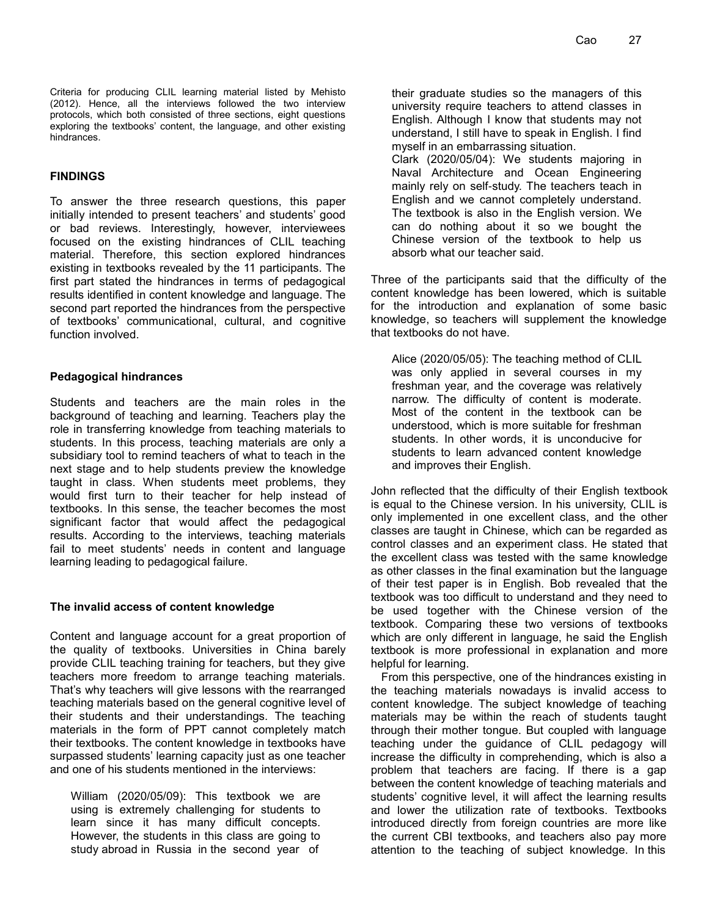Criteria for producing CLIL learning material listed by Mehisto (2012). Hence, all the interviews followed the two interview protocols, which both consisted of three sections, eight questions exploring the textbooks' content, the language, and other existing hindrances.

#### **FINDINGS**

To answer the three research questions, this paper initially intended to present teachers' and students' good or bad reviews. Interestingly, however, interviewees focused on the existing hindrances of CLIL teaching material. Therefore, this section explored hindrances existing in textbooks revealed by the 11 participants. The first part stated the hindrances in terms of pedagogical results identified in content knowledge and language. The second part reported the hindrances from the perspective of textbooks' communicational, cultural, and cognitive function involved.

#### **Pedagogical hindrances**

Students and teachers are the main roles in the background of teaching and learning. Teachers play the role in transferring knowledge from teaching materials to students. In this process, teaching materials are only a subsidiary tool to remind teachers of what to teach in the next stage and to help students preview the knowledge taught in class. When students meet problems, they would first turn to their teacher for help instead of textbooks. In this sense, the teacher becomes the most significant factor that would affect the pedagogical results. According to the interviews, teaching materials fail to meet students' needs in content and language learning leading to pedagogical failure.

# **The invalid access of content knowledge**

Content and language account for a great proportion of the quality of textbooks. Universities in China barely provide CLIL teaching training for teachers, but they give teachers more freedom to arrange teaching materials. That's why teachers will give lessons with the rearranged teaching materials based on the general cognitive level of their students and their understandings. The teaching materials in the form of PPT cannot completely match their textbooks. The content knowledge in textbooks have surpassed students' learning capacity just as one teacher and one of his students mentioned in the interviews:

William (2020/05/09): This textbook we are using is extremely challenging for students to learn since it has many difficult concepts. However, the students in this class are going to study abroad in Russia in the second year of

their graduate studies so the managers of this university require teachers to attend classes in English. Although I know that students may not understand, I still have to speak in English. I find myself in an embarrassing situation.

Clark (2020/05/04): We students majoring in Naval Architecture and Ocean Engineering mainly rely on self-study. The teachers teach in English and we cannot completely understand. The textbook is also in the English version. We can do nothing about it so we bought the Chinese version of the textbook to help us absorb what our teacher said.

Three of the participants said that the difficulty of the content knowledge has been lowered, which is suitable for the introduction and explanation of some basic knowledge, so teachers will supplement the knowledge that textbooks do not have.

Alice (2020/05/05): The teaching method of CLIL was only applied in several courses in my freshman year, and the coverage was relatively narrow. The difficulty of content is moderate. Most of the content in the textbook can be understood, which is more suitable for freshman students. In other words, it is unconducive for students to learn advanced content knowledge and improves their English.

John reflected that the difficulty of their English textbook is equal to the Chinese version. In his university, CLIL is only implemented in one excellent class, and the other classes are taught in Chinese, which can be regarded as control classes and an experiment class. He stated that the excellent class was tested with the same knowledge as other classes in the final examination but the language of their test paper is in English. Bob revealed that the textbook was too difficult to understand and they need to be used together with the Chinese version of the textbook. Comparing these two versions of textbooks which are only different in language, he said the English textbook is more professional in explanation and more helpful for learning.

From this perspective, one of the hindrances existing in the teaching materials nowadays is invalid access to content knowledge. The subject knowledge of teaching materials may be within the reach of students taught through their mother tongue. But coupled with language teaching under the guidance of CLIL pedagogy will increase the difficulty in comprehending, which is also a problem that teachers are facing. If there is a gap between the content knowledge of teaching materials and students' cognitive level, it will affect the learning results and lower the utilization rate of textbooks. Textbooks introduced directly from foreign countries are more like the current CBI textbooks, and teachers also pay more attention to the teaching of subject knowledge. In this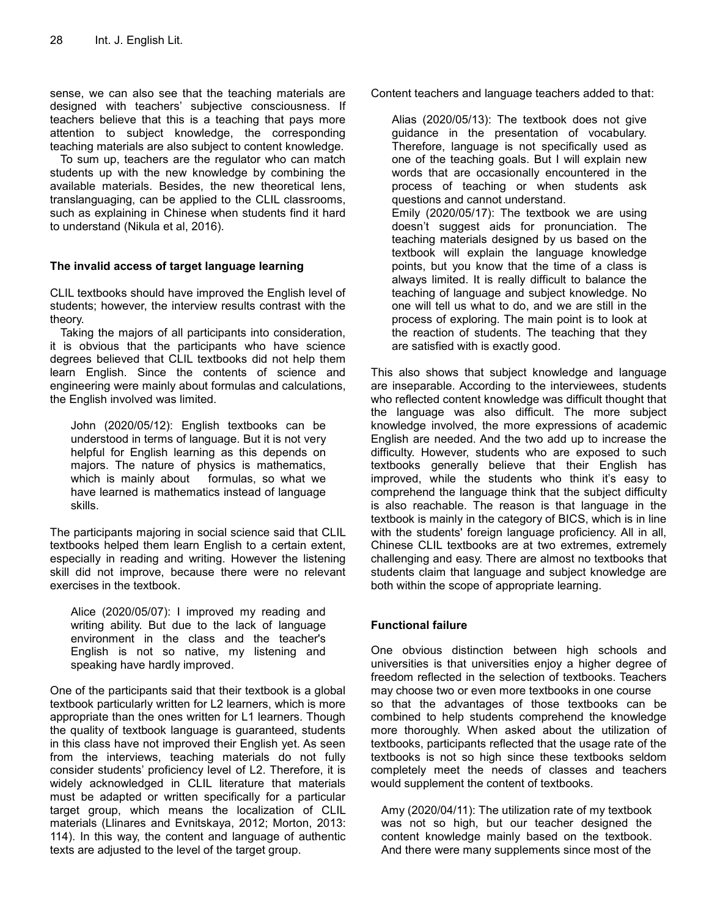sense, we can also see that the teaching materials are designed with teachers' subjective consciousness. If teachers believe that this is a teaching that pays more attention to subject knowledge, the corresponding teaching materials are also subject to content knowledge.

To sum up, teachers are the regulator who can match students up with the new knowledge by combining the available materials. Besides, the new theoretical lens, translanguaging, can be applied to the CLIL classrooms, such as explaining in Chinese when students find it hard to understand (Nikula et al, 2016).

# **The invalid access of target language learning**

CLIL textbooks should have improved the English level of students; however, the interview results contrast with the theory.

Taking the majors of all participants into consideration, it is obvious that the participants who have science degrees believed that CLIL textbooks did not help them learn English. Since the contents of science and engineering were mainly about formulas and calculations, the English involved was limited.

John (2020/05/12): English textbooks can be understood in terms of language. But it is not very helpful for English learning as this depends on majors. The nature of physics is mathematics, which is mainly about formulas, so what we have learned is mathematics instead of language skills.

The participants majoring in social science said that CLIL textbooks helped them learn English to a certain extent, especially in reading and writing. However the listening skill did not improve, because there were no relevant exercises in the textbook.

Alice (2020/05/07): I improved my reading and writing ability. But due to the lack of language environment in the class and the teacher's English is not so native, my listening and speaking have hardly improved.

One of the participants said that their textbook is a global textbook particularly written for L2 learners, which is more appropriate than the ones written for L1 learners. Though the quality of textbook language is guaranteed, students in this class have not improved their English yet. As seen from the interviews, teaching materials do not fully consider students' proficiency level of L2. Therefore, it is widely acknowledged in CLIL literature that materials must be adapted or written specifically for a particular target group, which means the localization of CLIL materials (Llinares and Evnitskaya, 2012; Morton, 2013: 114). In this way, the content and language of authentic texts are adjusted to the level of the target group.

Content teachers and language teachers added to that:

Alias (2020/05/13): The textbook does not give guidance in the presentation of vocabulary. Therefore, language is not specifically used as one of the teaching goals. But I will explain new words that are occasionally encountered in the process of teaching or when students ask questions and cannot understand. Emily (2020/05/17): The textbook we are using doesn't suggest aids for pronunciation. The teaching materials designed by us based on the textbook will explain the language knowledge points, but you know that the time of a class is always limited. It is really difficult to balance the teaching of language and subject knowledge. No one will tell us what to do, and we are still in the process of exploring. The main point is to look at the reaction of students. The teaching that they are satisfied with is exactly good.

This also shows that subject knowledge and language are inseparable. According to the interviewees, students who reflected content knowledge was difficult thought that the language was also difficult. The more subject knowledge involved, the more expressions of academic English are needed. And the two add up to increase the difficulty. However, students who are exposed to such textbooks generally believe that their English has improved, while the students who think it's easy to comprehend the language think that the subject difficulty is also reachable. The reason is that language in the textbook is mainly in the category of BICS, which is in line with the students' foreign language proficiency. All in all, Chinese CLIL textbooks are at two extremes, extremely challenging and easy. There are almost no textbooks that students claim that language and subject knowledge are both within the scope of appropriate learning.

# **Functional failure**

One obvious distinction between high schools and universities is that universities enjoy a higher degree of freedom reflected in the selection of textbooks. Teachers may choose two or even more textbooks in one course so that the advantages of those textbooks can be combined to help students comprehend the knowledge more thoroughly. When asked about the utilization of textbooks, participants reflected that the usage rate of the textbooks is not so high since these textbooks seldom completely meet the needs of classes and teachers would supplement the content of textbooks.

Amy (2020/04/11): The utilization rate of my textbook was not so high, but our teacher designed the content knowledge mainly based on the textbook. And there were many supplements since most of the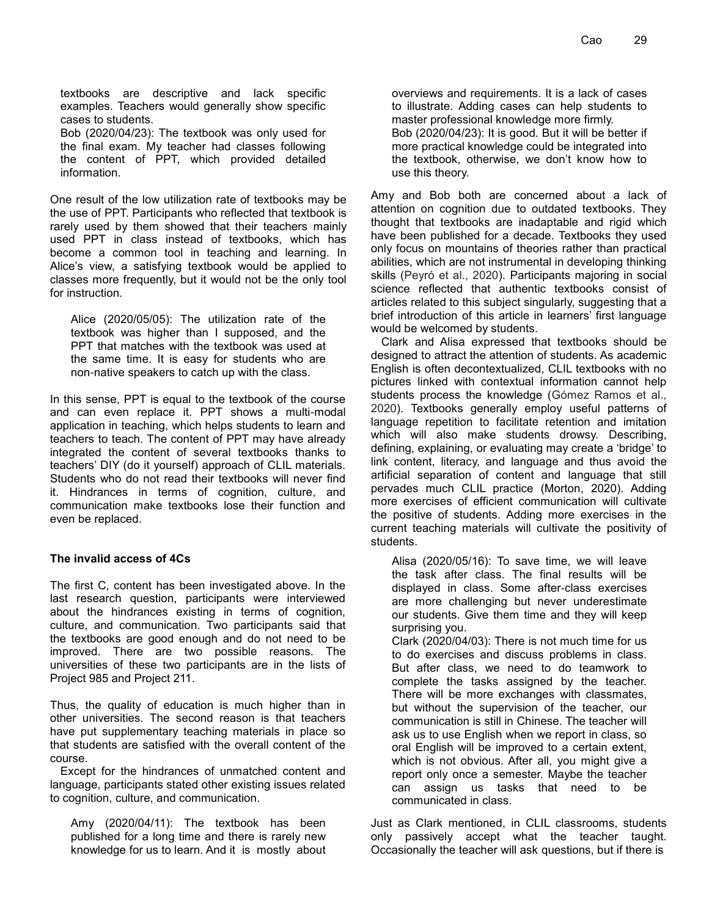textbooks are descriptive and lack specific examples. Teachers would generally show specific cases to students.

Bob (2020/04/23): The textbook was only used for the final exam. My teacher had classes following the content of PPT, which provided detailed information.

One result of the low utilization rate of textbooks may be the use of PPT. Participants who reflected that textbook is rarely used by them showed that their teachers mainly used PPT in class instead of textbooks, which has become a common tool in teaching and learning. In Alice's view, a satisfying textbook would be applied to classes more frequently, but it would not be the only tool for instruction.

Alice (2020/05/05): The utilization rate of the textbook was higher than I supposed, and the PPT that matches with the textbook was used at the same time. It is easy for students who are non-native speakers to catch up with the class.

In this sense, PPT is equal to the textbook of the course and can even replace it. PPT shows a multi-modal application in teaching, which helps students to learn and teachers to teach. The content of PPT may have already integrated the content of several textbooks thanks to teachers' DIY (do it yourself) approach of CLIL materials. Students who do not read their textbooks will never find it. Hindrances in terms of cognition, culture, and communication make textbooks lose their function and even be replaced.

# **The invalid access of 4Cs**

The first C, content has been investigated above. In the last research question, participants were interviewed about the hindrances existing in terms of cognition, culture, and communication. Two participants said that the textbooks are good enough and do not need to be improved. There are two possible reasons. The universities of these two participants are in the lists of Project 985 and Project 211.

Thus, the quality of education is much higher than in other universities. The second reason is that teachers have put supplementary teaching materials in place so that students are satisfied with the overall content of the course.

Except for the hindrances of unmatched content and language, participants stated other existing issues related to cognition, culture, and communication.

Amy (2020/04/11): The textbook has been published for a long time and there is rarely new knowledge for us to learn. And it is mostly about

overviews and requirements. It is a lack of cases to illustrate. Adding cases can help students to master professional knowledge more firmly. Bob (2020/04/23): It is good. But it will be better if more practical knowledge could be integrated into the textbook, otherwise, we don't know how to use this theory.

Amy and Bob both are concerned about a lack of attention on cognition due to outdated textbooks. They thought that textbooks are inadaptable and rigid which have been published for a decade. Textbooks they used only focus on mountains of theories rather than practical abilities, which are not instrumental in developing thinking skills (Peyró et al., 2020). Participants majoring in social science reflected that authentic textbooks consist of articles related to this subject singularly, suggesting that a brief introduction of this article in learners' first language would be welcomed by students.

Clark and Alisa expressed that textbooks should be designed to attract the attention of students. As academic English is often decontextualized, CLIL textbooks with no pictures linked with contextual information cannot help students process the knowledge (Gómez Ramos et al., 2020). Textbooks generally employ useful patterns of language repetition to facilitate retention and imitation which will also make students drowsy. Describing, defining, explaining, or evaluating may create a 'bridge' to link content, literacy, and language and thus avoid the artificial separation of content and language that still pervades much CLIL practice (Morton, 2020). Adding more exercises of efficient communication will cultivate the positive of students. Adding more exercises in the current teaching materials will cultivate the positivity of students.

Alisa (2020/05/16): To save time, we will leave the task after class. The final results will be displayed in class. Some after-class exercises are more challenging but never underestimate our students. Give them time and they will keep surprising you.

Clark (2020/04/03): There is not much time for us to do exercises and discuss problems in class. But after class, we need to do teamwork to complete the tasks assigned by the teacher. There will be more exchanges with classmates, but without the supervision of the teacher, our communication is still in Chinese. The teacher will ask us to use English when we report in class, so oral English will be improved to a certain extent, which is not obvious. After all, you might give a report only once a semester. Maybe the teacher can assign us tasks that need to be communicated in class.

Just as Clark mentioned, in CLIL classrooms, students only passively accept what the teacher taught. Occasionally the teacher will ask questions, but if there is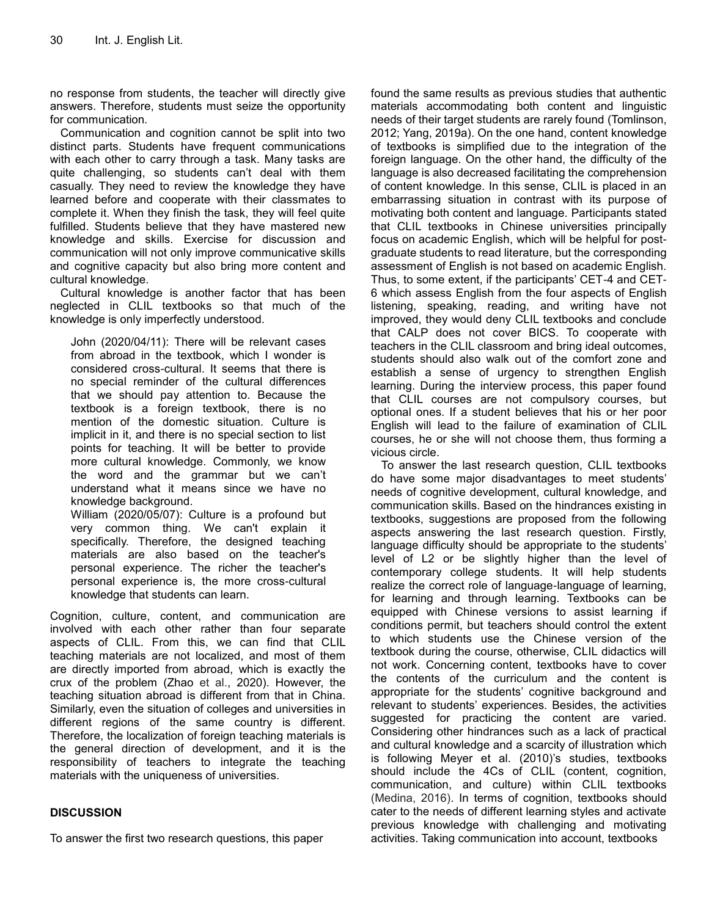no response from students, the teacher will directly give answers. Therefore, students must seize the opportunity for communication.

Communication and cognition cannot be split into two distinct parts. Students have frequent communications with each other to carry through a task. Many tasks are quite challenging, so students can't deal with them casually. They need to review the knowledge they have learned before and cooperate with their classmates to complete it. When they finish the task, they will feel quite fulfilled. Students believe that they have mastered new knowledge and skills. Exercise for discussion and communication will not only improve communicative skills and cognitive capacity but also bring more content and cultural knowledge.

Cultural knowledge is another factor that has been neglected in CLIL textbooks so that much of the knowledge is only imperfectly understood.

John (2020/04/11): There will be relevant cases from abroad in the textbook, which I wonder is considered cross-cultural. It seems that there is no special reminder of the cultural differences that we should pay attention to. Because the textbook is a foreign textbook, there is no mention of the domestic situation. Culture is implicit in it, and there is no special section to list points for teaching. It will be better to provide more cultural knowledge. Commonly, we know the word and the grammar but we can't understand what it means since we have no knowledge background.

William (2020/05/07): Culture is a profound but very common thing. We can't explain it specifically. Therefore, the designed teaching materials are also based on the teacher's personal experience. The richer the teacher's personal experience is, the more cross-cultural knowledge that students can learn.

Cognition, culture, content, and communication are involved with each other rather than four separate aspects of CLIL. From this, we can find that CLIL teaching materials are not localized, and most of them are directly imported from abroad, which is exactly the crux of the problem (Zhao et al., 2020). However, the teaching situation abroad is different from that in China. Similarly, even the situation of colleges and universities in different regions of the same country is different. Therefore, the localization of foreign teaching materials is the general direction of development, and it is the responsibility of teachers to integrate the teaching materials with the uniqueness of universities.

# **DISCUSSION**

To answer the first two research questions, this paper

found the same results as previous studies that authentic materials accommodating both content and linguistic needs of their target students are rarely found (Tomlinson, 2012; Yang, 2019a). On the one hand, content knowledge of textbooks is simplified due to the integration of the foreign language. On the other hand, the difficulty of the language is also decreased facilitating the comprehension of content knowledge. In this sense, CLIL is placed in an embarrassing situation in contrast with its purpose of motivating both content and language. Participants stated that CLIL textbooks in Chinese universities principally focus on academic English, which will be helpful for postgraduate students to read literature, but the corresponding assessment of English is not based on academic English. Thus, to some extent, if the participants' CET-4 and CET-6 which assess English from the four aspects of English listening, speaking, reading, and writing have not improved, they would deny CLIL textbooks and conclude that CALP does not cover BICS. To cooperate with teachers in the CLIL classroom and bring ideal outcomes, students should also walk out of the comfort zone and establish a sense of urgency to strengthen English learning. During the interview process, this paper found that CLIL courses are not compulsory courses, but optional ones. If a student believes that his or her poor English will lead to the failure of examination of CLIL courses, he or she will not choose them, thus forming a vicious circle.

To answer the last research question, CLIL textbooks do have some major disadvantages to meet students' needs of cognitive development, cultural knowledge, and communication skills. Based on the hindrances existing in textbooks, suggestions are proposed from the following aspects answering the last research question. Firstly, language difficulty should be appropriate to the students' level of L2 or be slightly higher than the level of contemporary college students. It will help students realize the correct role of language-language of learning, for learning and through learning. Textbooks can be equipped with Chinese versions to assist learning if conditions permit, but teachers should control the extent to which students use the Chinese version of the textbook during the course, otherwise, CLIL didactics will not work. Concerning content, textbooks have to cover the contents of the curriculum and the content is appropriate for the students' cognitive background and relevant to students' experiences. Besides, the activities suggested for practicing the content are varied. Considering other hindrances such as a lack of practical and cultural knowledge and a scarcity of illustration which is following Meyer et al. (2010)'s studies, textbooks should include the 4Cs of CLIL (content, cognition, communication, and culture) within CLIL textbooks (Medina, 2016). In terms of cognition, textbooks should cater to the needs of different learning styles and activate previous knowledge with challenging and motivating activities. Taking communication into account, textbooks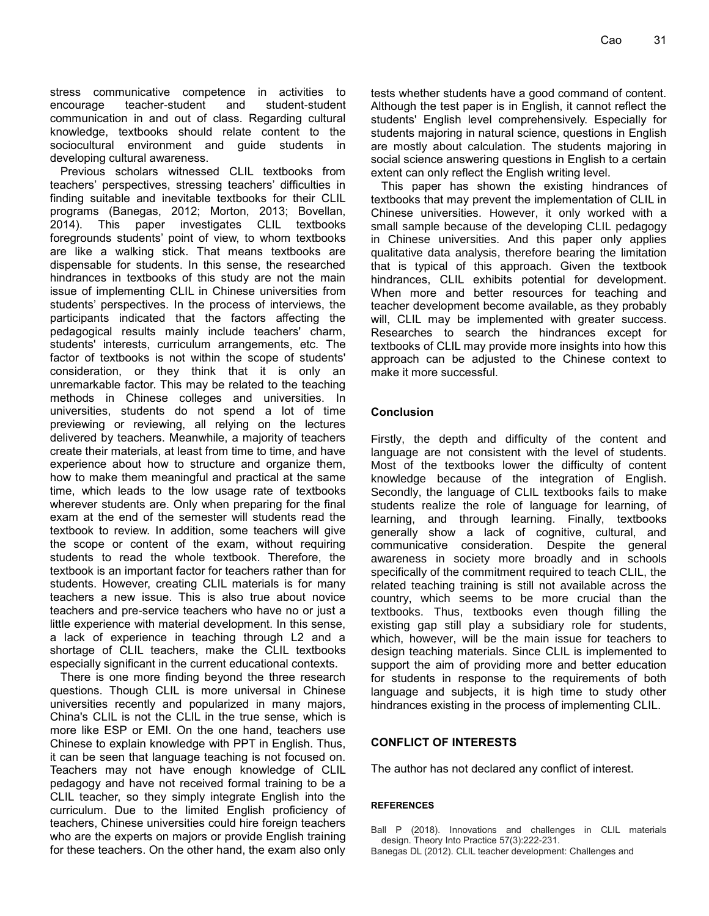stress communicative competence in activities to encourage teacher-student and student-student communication in and out of class. Regarding cultural knowledge, textbooks should relate content to the sociocultural environment and guide students in developing cultural awareness.

Previous scholars witnessed CLIL textbooks from teachers' perspectives, stressing teachers' difficulties in finding suitable and inevitable textbooks for their CLIL programs (Banegas, 2012; Morton, 2013; Bovellan, 2014). This paper investigates CLIL textbooks foregrounds students' point of view, to whom textbooks are like a walking stick. That means textbooks are dispensable for students. In this sense, the researched hindrances in textbooks of this study are not the main issue of implementing CLIL in Chinese universities from students' perspectives. In the process of interviews, the participants indicated that the factors affecting the pedagogical results mainly include teachers' charm, students' interests, curriculum arrangements, etc. The factor of textbooks is not within the scope of students' consideration, or they think that it is only an unremarkable factor. This may be related to the teaching methods in Chinese colleges and universities. In universities, students do not spend a lot of time previewing or reviewing, all relying on the lectures delivered by teachers. Meanwhile, a majority of teachers create their materials, at least from time to time, and have experience about how to structure and organize them, how to make them meaningful and practical at the same time, which leads to the low usage rate of textbooks wherever students are. Only when preparing for the final exam at the end of the semester will students read the textbook to review. In addition, some teachers will give the scope or content of the exam, without requiring students to read the whole textbook. Therefore, the textbook is an important factor for teachers rather than for students. However, creating CLIL materials is for many teachers a new issue. This is also true about novice teachers and pre-service teachers who have no or just a little experience with material development. In this sense, a lack of experience in teaching through L2 and a shortage of CLIL teachers, make the CLIL textbooks especially significant in the current educational contexts.

There is one more finding beyond the three research questions. Though CLIL is more universal in Chinese universities recently and popularized in many majors, China's CLIL is not the CLIL in the true sense, which is more like ESP or EMI. On the one hand, teachers use Chinese to explain knowledge with PPT in English. Thus, it can be seen that language teaching is not focused on. Teachers may not have enough knowledge of CLIL pedagogy and have not received formal training to be a CLIL teacher, so they simply integrate English into the curriculum. Due to the limited English proficiency of teachers, Chinese universities could hire foreign teachers who are the experts on majors or provide English training for these teachers. On the other hand, the exam also only tests whether students have a good command of content. Although the test paper is in English, it cannot reflect the students' English level comprehensively. Especially for students majoring in natural science, questions in English are mostly about calculation. The students majoring in social science answering questions in English to a certain extent can only reflect the English writing level.

This paper has shown the existing hindrances of textbooks that may prevent the implementation of CLIL in Chinese universities. However, it only worked with a small sample because of the developing CLIL pedagogy in Chinese universities. And this paper only applies qualitative data analysis, therefore bearing the limitation that is typical of this approach. Given the textbook hindrances, CLIL exhibits potential for development. When more and better resources for teaching and teacher development become available, as they probably will, CLIL may be implemented with greater success. Researches to search the hindrances except for textbooks of CLIL may provide more insights into how this approach can be adjusted to the Chinese context to make it more successful.

# **Conclusion**

Firstly, the depth and difficulty of the content and language are not consistent with the level of students. Most of the textbooks lower the difficulty of content knowledge because of the integration of English. Secondly, the language of CLIL textbooks fails to make students realize the role of language for learning, of learning, and through learning. Finally, textbooks generally show a lack of cognitive, cultural, and communicative consideration. Despite the general awareness in society more broadly and in schools specifically of the commitment required to teach CLIL, the related teaching training is still not available across the country, which seems to be more crucial than the textbooks. Thus, textbooks even though filling the existing gap still play a subsidiary role for students, which, however, will be the main issue for teachers to design teaching materials. Since CLIL is implemented to support the aim of providing more and better education for students in response to the requirements of both language and subjects, it is high time to study other hindrances existing in the process of implementing CLIL.

# **CONFLICT OF INTERESTS**

The author has not declared any conflict of interest.

#### **REFERENCES**

Ball P (2018). Innovations and challenges in CLIL materials design. Theory Into Practice 57(3):222-231.

Banegas DL (2012). CLIL teacher development: Challenges and